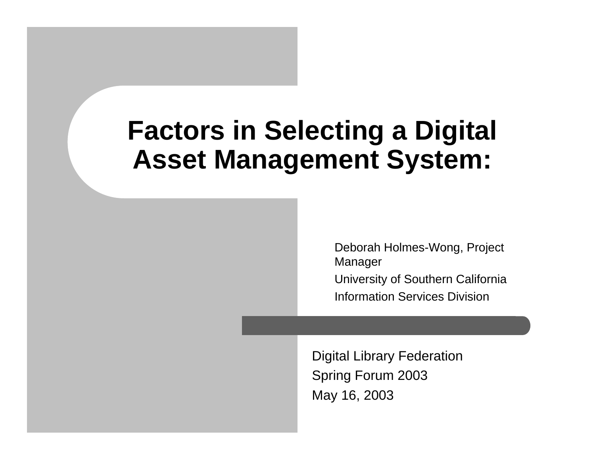#### **Factors in Selecting a Digital Asset Management System:**

Deborah Holmes-Wong, Project Manager University of Southern California Information Services Division

Digital Library Federation Spring Forum 2003 May 16, 2003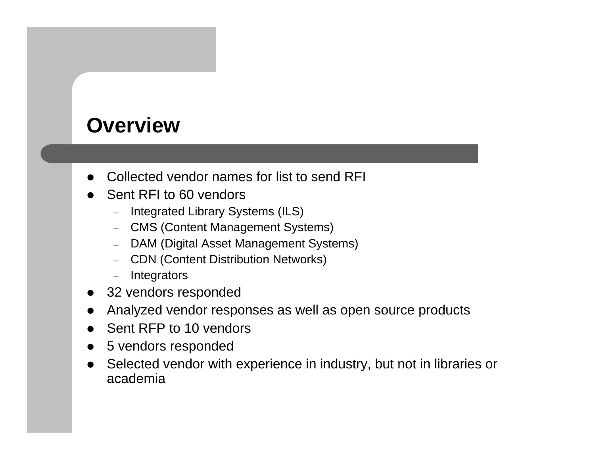#### **Overview**

- $\bullet$ Collected vendor names for list to send RFI
- $\bullet$  Sent RFI to 60 vendors
	- –Integrated Library Systems (ILS)
	- CMS (Content Management Systems)
	- DAM (Digital Asset Management Systems)
	- –CDN (Content Distribution Networks)
	- –**Integrators**
- $\bullet$ 32 vendors responded
- $\bullet$ Analyzed vendor responses as well as open source products
- $\bullet$ Sent RFP to 10 vendors
- $\bullet$ 5 vendors responded
- $\bullet$  Selected vendor with experience in industry, but not in libraries or academia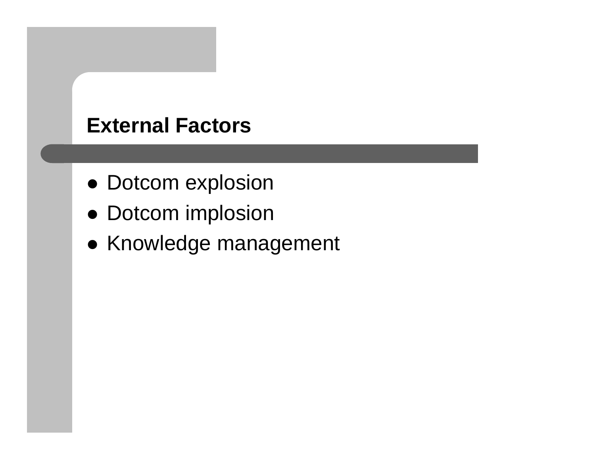#### **External Factors**

- Dotcom explosion
- Dotcom implosion
- Knowledge management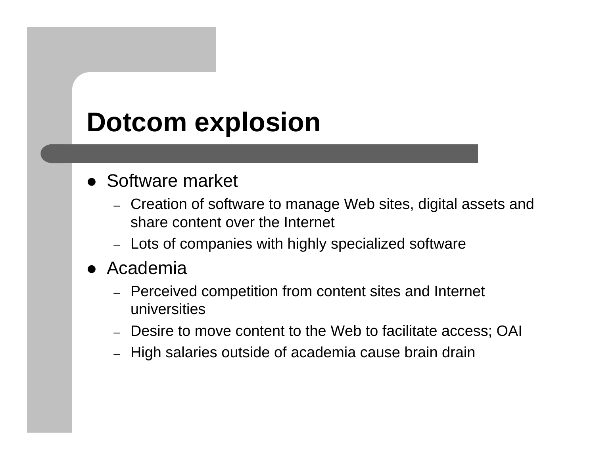#### **Dotcom explosion**

#### • Software market

- Creation of software to manage Web sites, digital assets and share content over the Internet
- Lots of companies with highly specialized software
- Academia
	- Perceived competition from content sites and Internet universities
	- Desire to move content to the Web to facilitate access; OAI
	- –High salaries outside of academia cause brain drain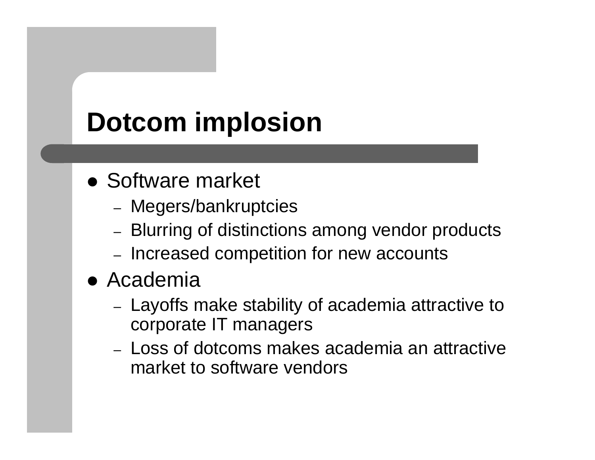# **Dotcom implosion**

- Software market
	- Megers/bankruptcies
	- Blurring of distinctions among vendor products
	- –- Increased competition for new accounts
- Academia
	- Layoffs make stability of academia attractive to corporate IT managers
	- Loss of dotcoms makes academia an attractive market to software vendors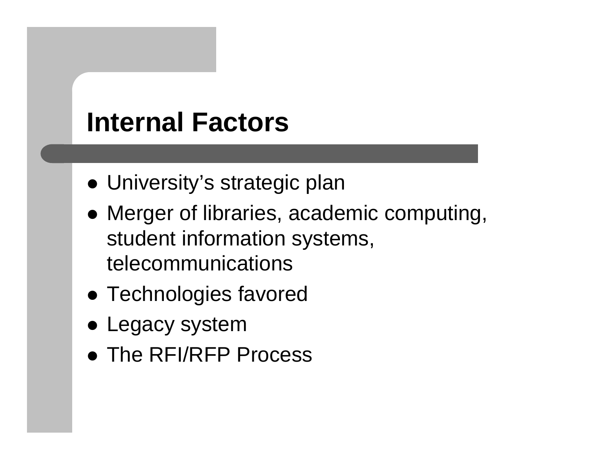#### **Internal Factors**

- University's strategic plan
- Merger of libraries, academic computing, student information systems, telecommunications
- Technologies favored
- Legacy system
- The RFI/RFP Process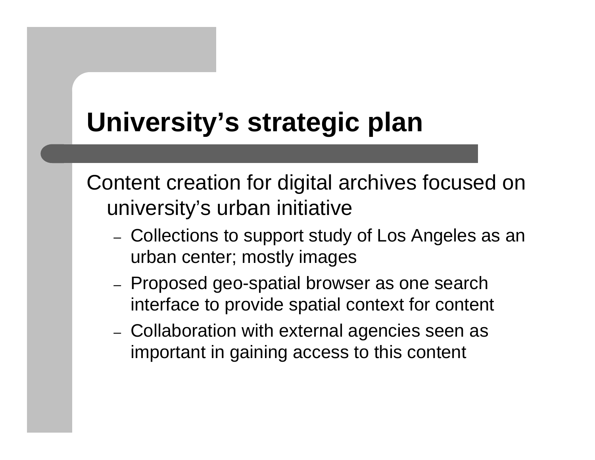## **University's strategic plan**

Content creation for digital archives focused on university's urban initiative

- –– Collections to support study of Los Angeles as an urban center; mostly images
- Proposed geo-spatial browser as one search interface to provide spatial context for content
- Collaboration with external agencies seen as important in gaining access to this content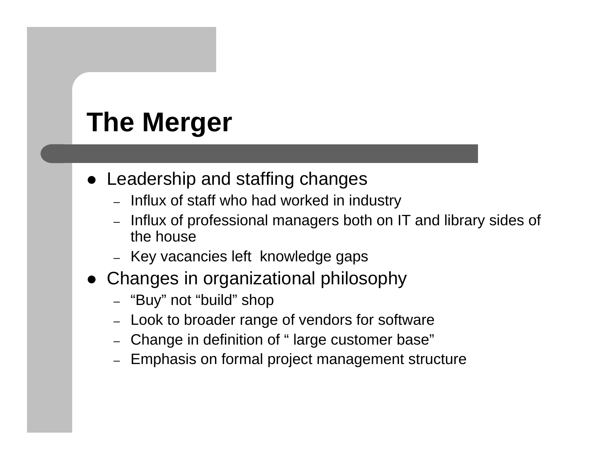# **The Merger**

- Leadership and staffing changes
	- Influx of staff who had worked in industry
	- – Influx of professional managers both on IT and library sides of the house
	- Key vacancies left knowledge gaps
- Changes in organizational philosophy
	- "Buy" not "build" shop
	- –Look to broader range of vendors for software
	- Change in definition of " large customer base"
	- Emphasis on formal project management structure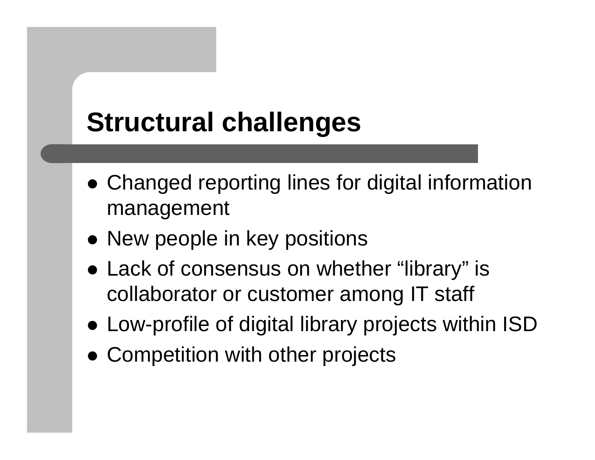## **Structural challenges**

- Changed reporting lines for digital information management
- New people in key positions
- Lack of consensus on whether "library" is collaborator or customer among IT staff
- Low-profile of digital library projects within ISD
- Competition with other projects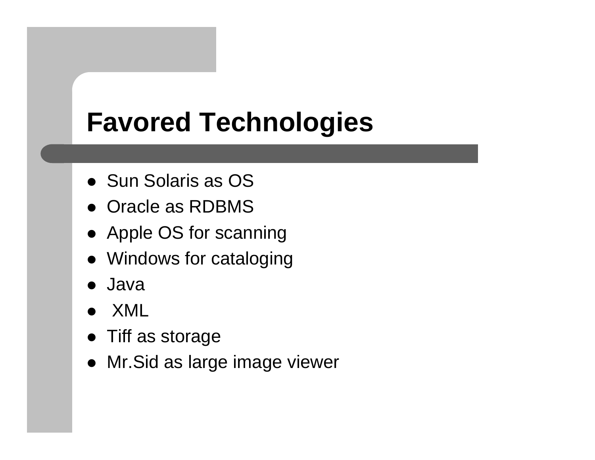## **Favored Technologies**

- Sun Solaris as OS
- Oracle as RDBMS
- Apple OS for scanning
- Windows for cataloging
- Java
- $\bullet$ XML
- Tiff as storage
- Mr.Sid as large image viewer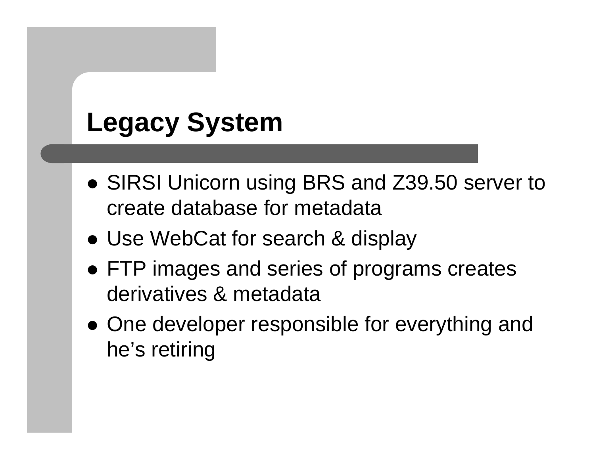# **Legacy System**

- SIRSI Unicorn using BRS and Z39.50 server to create database for metadata
- Use WebCat for search & display
- FTP images and series of programs creates derivatives & metadata
- One developer responsible for everything and he's retiring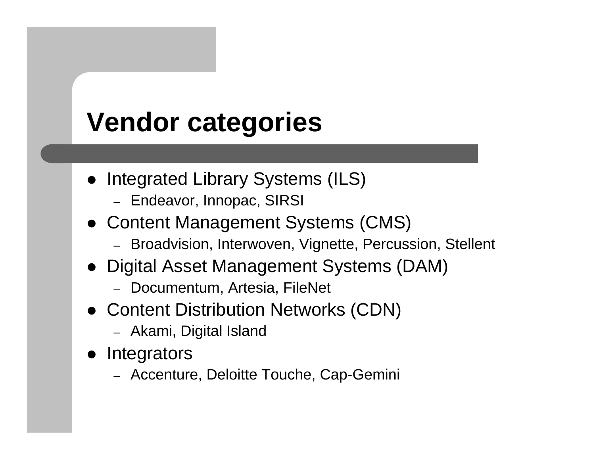## **Vendor categories**

- Integrated Library Systems (ILS)
	- Endeavor, Innopac, SIRSI
- Content Management Systems (CMS)
	- Broadvision, Interwoven, Vignette, Percussion, Stellent
- Digital Asset Management Systems (DAM)
	- Documentum, Artesia, FileNet
- Content Distribution Networks (CDN)
	- Akami, Digital Island
- $\bullet$ **Integrators** 
	- Accenture, Deloitte Touche, Cap-Gemini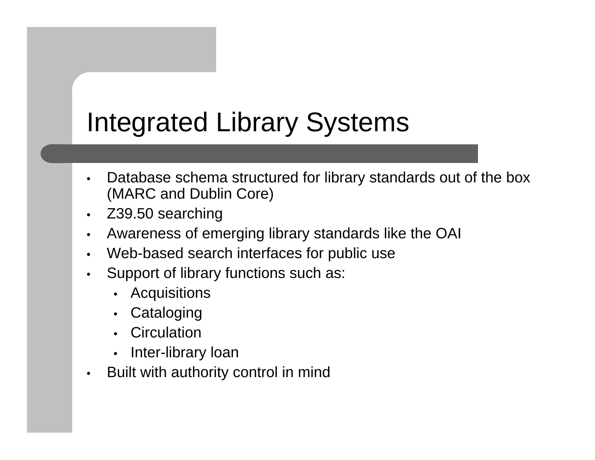### Integrated Library Systems

- • Database schema structured for library standards out of the box (MARC and Dublin Core)
- $\bullet$ Z39.50 searching
- •Awareness of emerging library standards like the OAI
- •Web-based search interfaces for public use
- • Support of library functions such as:
	- •**Acquisitions**
	- •**Cataloging**
	- •**Circulation**
	- •Inter-library loan
- •Built with authority control in mind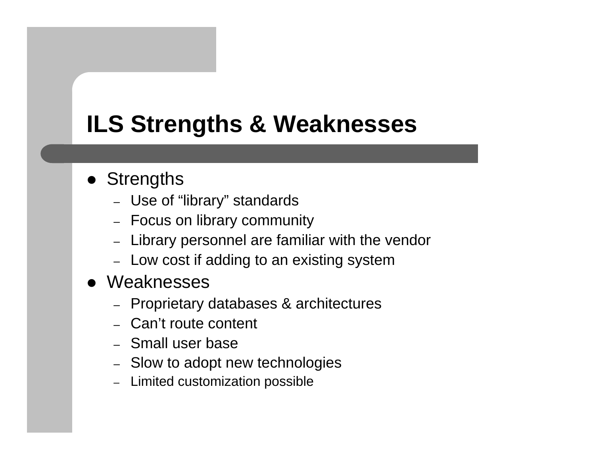#### **ILS Strengths & Weaknesses**

#### • Strengths

- Use of "library" standards
- Focus on library community
- Library personnel are familiar with the vendor
- Low cost if adding to an existing system
- Weaknesses
	- Proprietary databases & architectures
	- Can't route content
	- Small user base
	- Slow to adopt new technologies
	- –Limited customization possible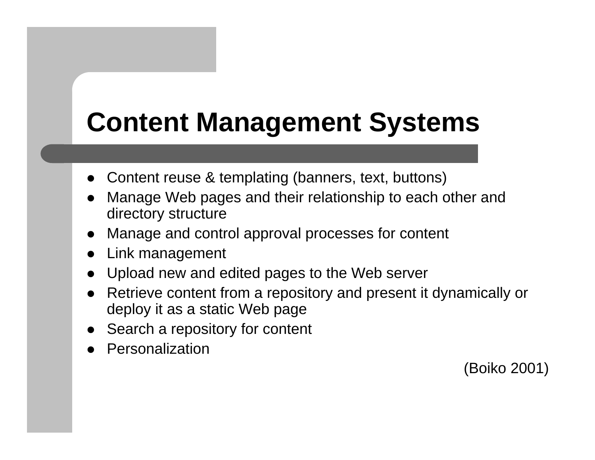# **Content Management Systems**

- $\bullet$ Content reuse & templating (banners, text, buttons)
- $\bullet$  Manage Web pages and their relationship to each other and directory structure
- $\bullet$ Manage and control approval processes for content
- $\bullet$ Link management
- $\bullet$ Upload new and edited pages to the Web server
- $\bullet$  Retrieve content from a repository and present it dynamically or deploy it as a static Web page
- $\bullet$ Search a repository for content
- $\bullet$ Personalization

(Boiko 2001)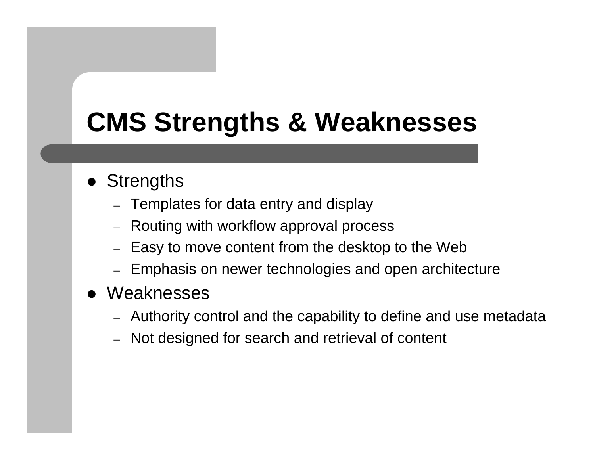## **CMS Strengths & Weaknesses**

- Strengths
	- Templates for data entry and display
	- –Routing with workflow approval process
	- –Easy to move content from the desktop to the Web
	- –Emphasis on newer technologies and open architecture
- Weaknesses
	- Authority control and the capability to define and use metadata
	- Not designed for search and retrieval of content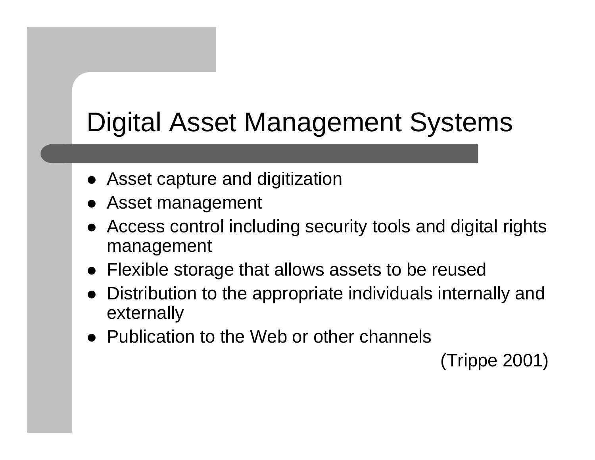# Digital Asset Management Systems

- Asset capture and digitization
- Asset management
- $\bullet$  Access control including security tools and digital rights management
- Flexible storage that allows assets to be reused
- $\bullet$  Distribution to the appropriate individuals internally and externally
- Publication to the Web or other channels

(Trippe 2001)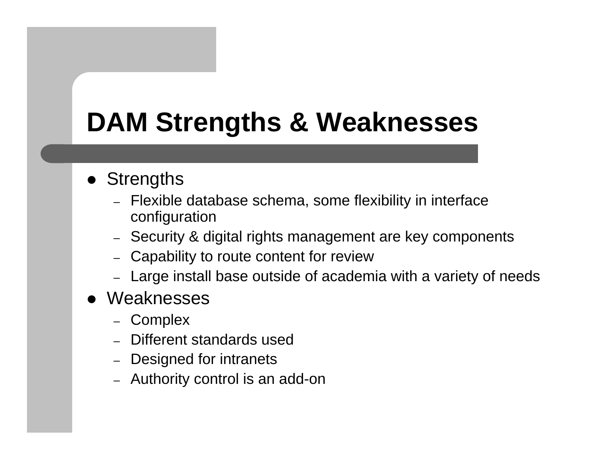## **DAM Strengths & Weaknesses**

#### • Strengths

- Flexible database schema, some flexibility in interface configuration
- Security & digital rights management are key components
- Capability to route content for review
- Large install base outside of academia with a variety of needs
- Weaknesses
	- Complex
	- Different standards used
	- Designed for intranets
	- Authority control is an add-on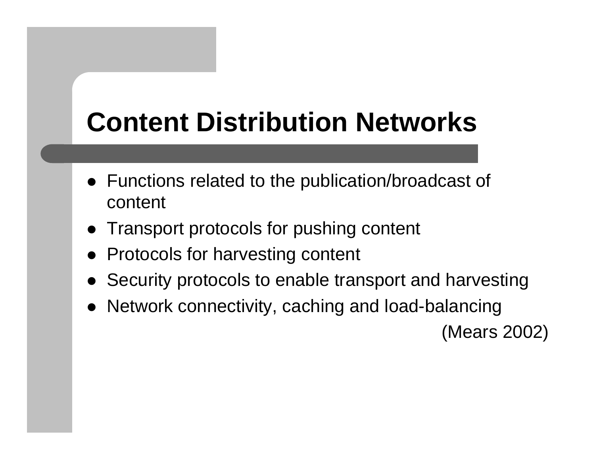## **Content Distribution Networks**

- Functions related to the publication/broadcast of content
- Transport protocols for pushing content
- Protocols for harvesting content
- $\bullet$ Security protocols to enable transport and harvesting
- Network connectivity, caching and load-balancing

(Mears 2002)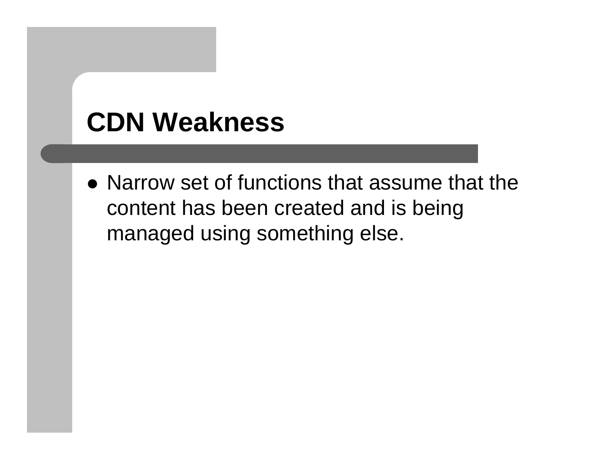## **CDN Weakness**

 $\bullet$  Narrow set of functions that assume that the content has been created and is being managed using something else.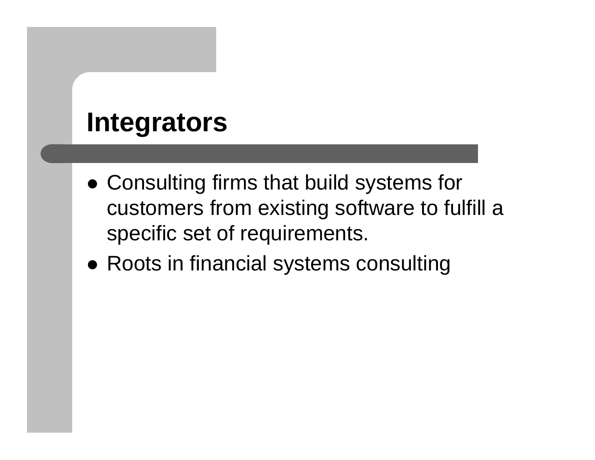#### **Integrators**

- Consulting firms that build systems for customers from existing software to fulfill a specific set of requirements.
- Roots in financial systems consulting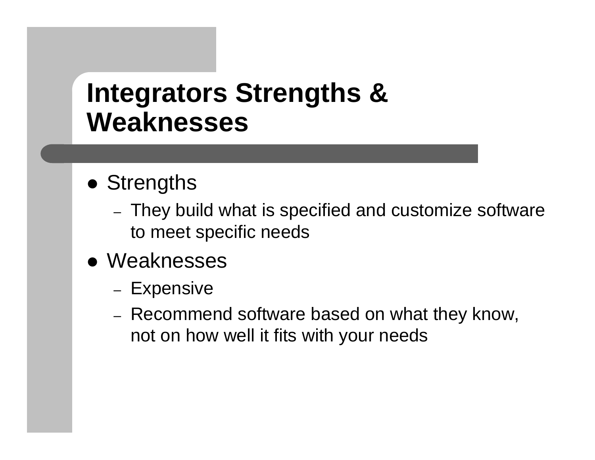#### **Integrators Strengths & Weaknesses**

- Strengths
	- They build what is specified and customize software to meet specific needs
- Weaknesses
	- Expensive
	- Recommend software based on what they know, not on how well it fits with your needs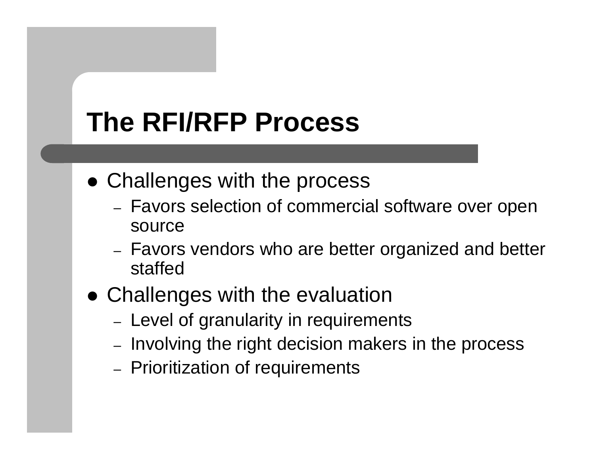## **The RFI/RFP Process**

- Challenges with the process
	- Favors selection of commercial software over open source
	- Favors vendors who are better organized and better staffed
- Challenges with the evaluation
	- Level of granularity in requirements
	- Involving the right decision makers in the process
	- Prioritization of requirements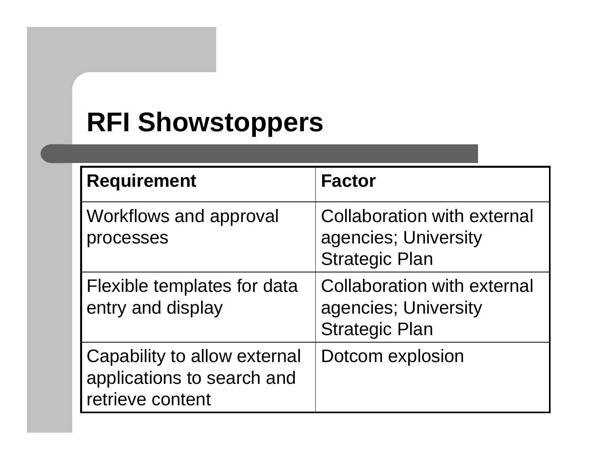### **RFI Showstoppers**

| <b>Requirement</b>                                                             | <b>Factor</b>                                                                       |
|--------------------------------------------------------------------------------|-------------------------------------------------------------------------------------|
| <b>Workflows and approval</b><br>processes                                     | <b>Collaboration with external</b><br>agencies; University<br><b>Strategic Plan</b> |
| Flexible templates for data<br>entry and display                               | <b>Collaboration with external</b><br>agencies; University<br><b>Strategic Plan</b> |
| Capability to allow external<br>applications to search and<br>retrieve content | Dotcom explosion                                                                    |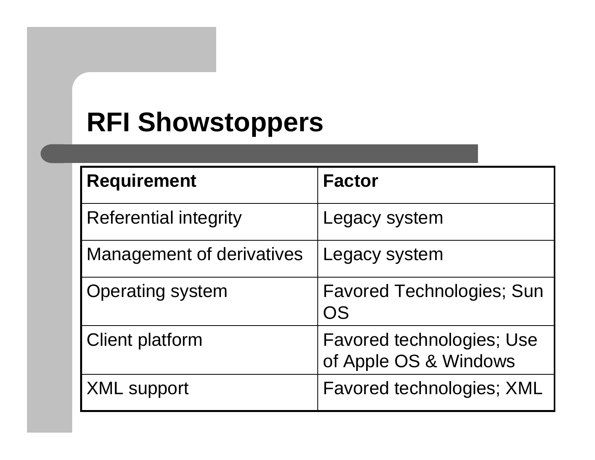### **RFI Showstoppers**

| <b>Requirement</b>        | <b>Factor</b>                    |
|---------------------------|----------------------------------|
|                           |                                  |
| Referential integrity     | Legacy system                    |
| Management of derivatives | Legacy system                    |
|                           |                                  |
| <b>Operating system</b>   | <b>Favored Technologies; Sun</b> |
|                           | OS                               |
| <b>Client platform</b>    | <b>Favored technologies; Use</b> |
|                           | of Apple OS & Windows            |
| <b>XML support</b>        | Favored technologies; XML        |
|                           |                                  |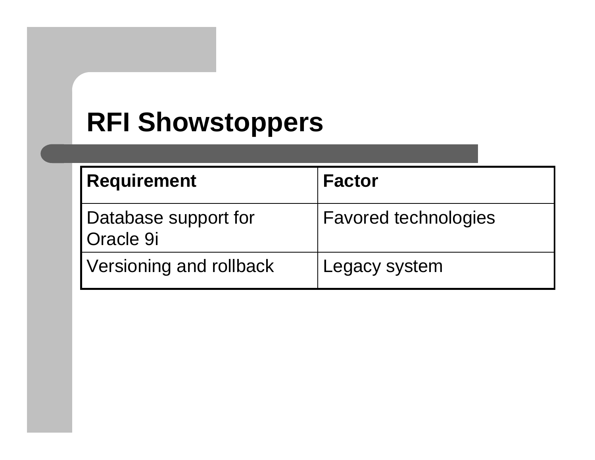### **RFI Showstoppers**

| <b>Requirement</b>                       | <b>Factor</b>               |
|------------------------------------------|-----------------------------|
| Database support for<br><b>Oracle 9i</b> | <b>Favored technologies</b> |
| Versioning and rollback                  | Legacy system               |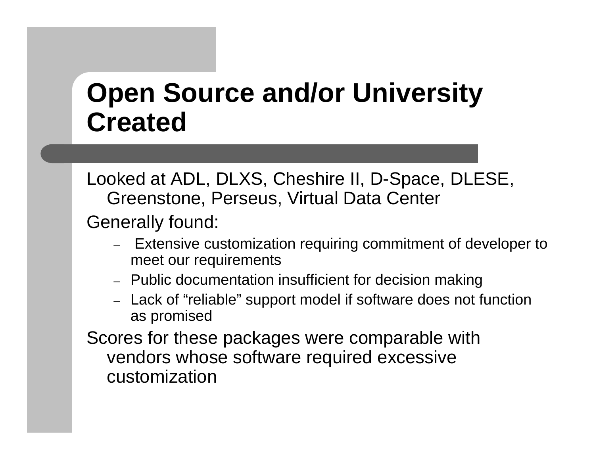#### **Open Source and/or University Created**

Looked at ADL, DLXS, Cheshire II, D-Space, DLESE, Greenstone, Perseus, Virtual Data Center

Generally found:

- – Extensive customization requiring commitment of developer to meet our requirements
- Public documentation insufficient for decision making
- Lack of "reliable" support model if software does not function as promised

Scores for these packages were comparable with vendors whose software required excessive customization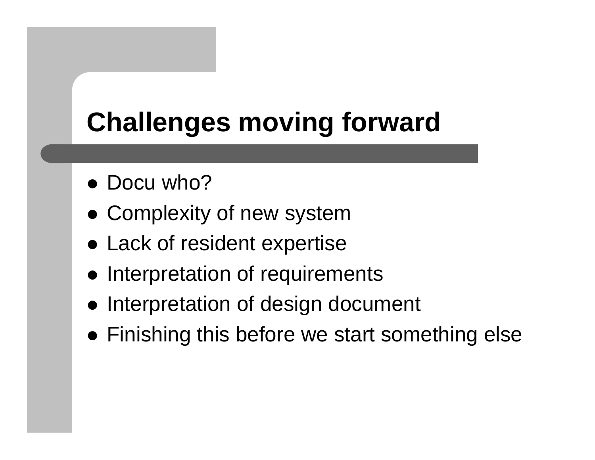# **Challenges moving forward**

- Docu who?
- Complexity of new system
- Lack of resident expertise
- Interpretation of requirements
- Interpretation of design document
- Finishing this before we start something else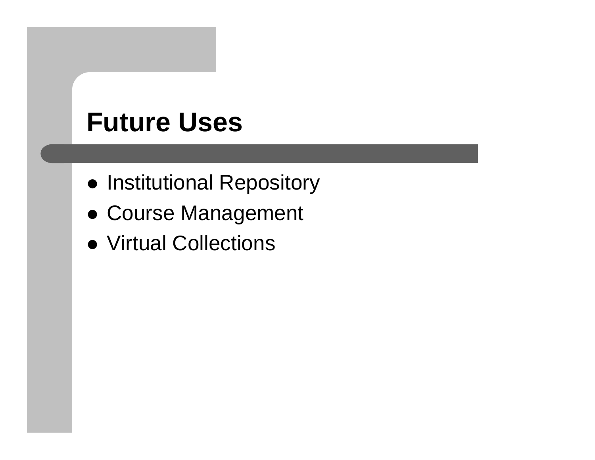#### **Future Uses**

- Institutional Repository
- **Course Management**
- Virtual Collections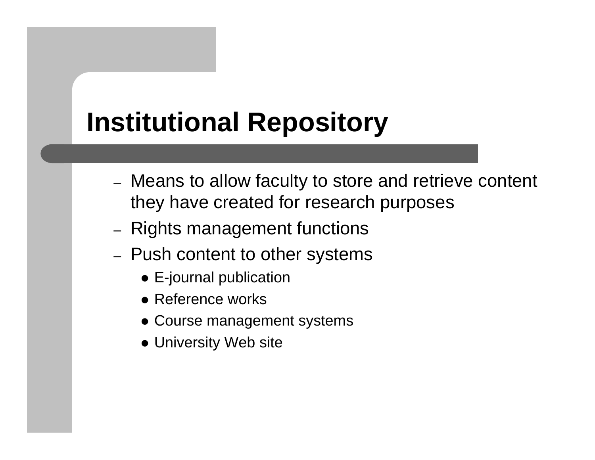# **Institutional Repository**

- Means to allow faculty to store and retrieve content they have created for research purposes
- –– Rights management functions
- –– Push content to other systems
	- $\bullet$  E-journal publication
	- Reference works
	- Course management systems
	- University Web site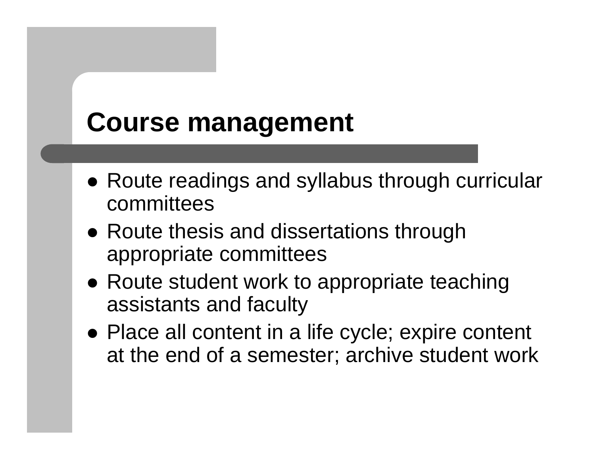#### **Course management**

- Route readings and syllabus through curricular committees
- Route thesis and dissertations through appropriate committees
- Route student work to appropriate teaching assistants and faculty
- Place all content in a life cycle; expire content at the end of a semester; archive student work